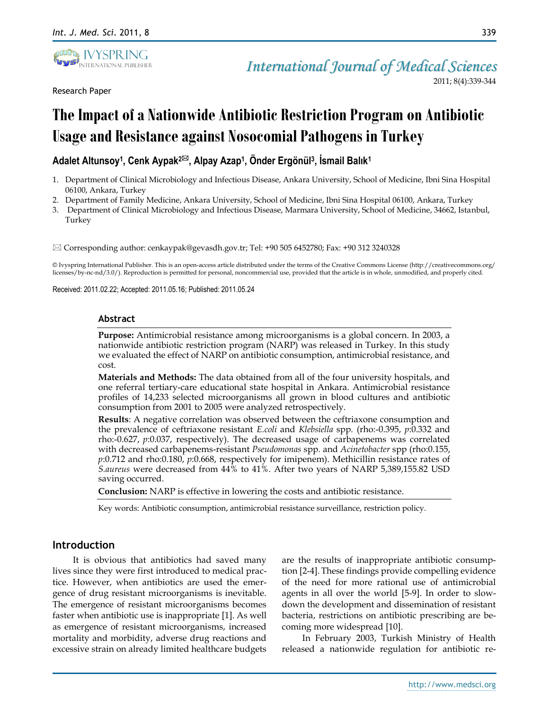

Research Paper

# **The Impact of a Nationwide Antibiotic Restriction Program on Antibiotic Usage and Resistance against Nosocomial Pathogens in Turkey**

# **Adalet Altunsoy<sup>1</sup> , Cenk Aypak2, Alpay Azap<sup>1</sup> , Önder Ergönül<sup>3</sup> , İsmail Balık<sup>1</sup>**

- 1. Department of Clinical Microbiology and Infectious Disease, Ankara University, School of Medicine, Ibni Sina Hospital 06100, Ankara, Turkey
- 2. Department of Family Medicine, Ankara University, School of Medicine, Ibni Sina Hospital 06100, Ankara, Turkey
- 3. Department of Clinical Microbiology and Infectious Disease, Marmara University, School of Medicine, 34662, Istanbul, Turkey

Corresponding author: [cenkaypak@gevasdh.gov.tr;](javascript:popup_imp() Tel: +90 505 6452780; Fax: +90 312 3240328

© Ivyspring International Publisher. This is an open-access article distributed under the terms of the Creative Commons License (http://creativecommons.org/ licenses/by-nc-nd/3.0/). Reproduction is permitted for personal, noncommercial use, provided that the article is in whole, unmodified, and properly cited.

Received: 2011.02.22; Accepted: 2011.05.16; Published: 2011.05.24

#### **Abstract**

**Purpose:** Antimicrobial resistance among microorganisms is a global concern. In 2003, a nationwide antibiotic restriction program (NARP) was released in Turkey. In this study we evaluated the effect of NARP on antibiotic consumption, antimicrobial resistance, and cost.

**Materials and Methods:** The data obtained from all of the four university hospitals, and one referral tertiary-care educational state hospital in Ankara. Antimicrobial resistance profiles of 14,233 selected microorganisms all grown in blood cultures and antibiotic consumption from 2001 to 2005 were analyzed retrospectively.

**Results**: A negative correlation was observed between the ceftriaxone consumption and the prevalence of ceftriaxone resistant *E.coli* and *Klebsiella* spp*.* (rho:-0.395, *p*:0.332 and rho:-0.627, *p*:0.037, respectively). The decreased usage of carbapenems was correlated with decreased carbapenems-resistant *Pseudomonas* spp*.* and *Acinetobacter* spp (rho:0.155, *p*:0.712 and rho:0.180, *p*:0.668, respectively for imipenem). Methicillin resistance rates of *S.aureus* were decreased from 44% to 41%. After two years of NARP 5,389,155.82 USD saving occurred.

**Conclusion:** NARP is effective in lowering the costs and antibiotic resistance.

Key words: Antibiotic consumption, antimicrobial resistance surveillance, restriction policy.

# **Introduction**

It is obvious that antibiotics had saved many lives since they were first introduced to medical practice. However, when antibiotics are used the emergence of drug resistant microorganisms is inevitable. The emergence of resistant microorganisms becomes faster when antibiotic use is inappropriate [1]. As well as emergence of resistant microorganisms, increased mortality and morbidity, adverse drug reactions and excessive strain on already limited healthcare budgets are the results of inappropriate antibiotic consumption [2-4]. These findings provide compelling evidence of the need for more rational use of antimicrobial agents in all over the world [5-9]. In order to slowdown the development and dissemination of resistant bacteria, restrictions on antibiotic prescribing are becoming more widespread [10].

In February 2003, Turkish Ministry of Health released a nationwide regulation for antibiotic re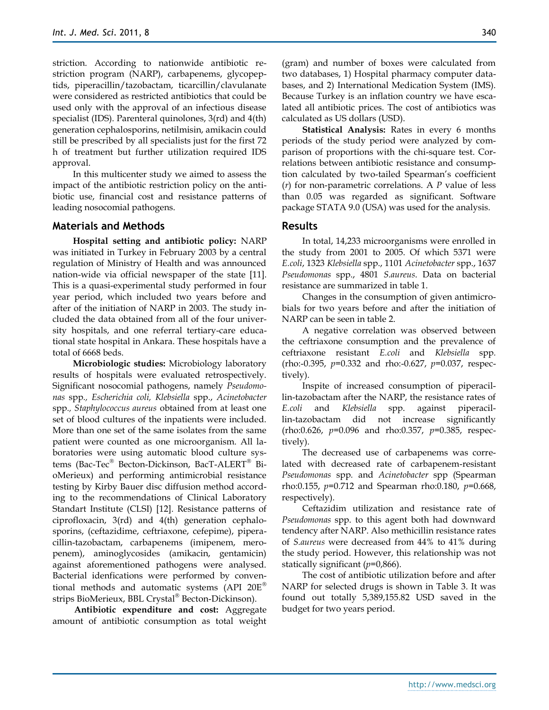striction. According to nationwide antibiotic restriction program (NARP), carbapenems, glycopeptids, piperacillin/tazobactam, ticarcillin/clavulanate were considered as restricted antibiotics that could be used only with the approval of an infectious disease specialist (IDS). Parenteral quinolones, 3(rd) and 4(th) generation cephalosporins, netilmisin, amikacin could still be prescribed by all specialists just for the first 72 h of treatment but further utilization required IDS approval.

In this multicenter study we aimed to assess the impact of the antibiotic restriction policy on the antibiotic use, financial cost and resistance patterns of leading nosocomial pathogens.

### **Materials and Methods**

**Hospital setting and antibiotic policy:** NARP was initiated in Turkey in February 2003 by a central regulation of Ministry of Health and was announced nation-wide via official newspaper of the state [11]. This is a quasi-experimental study performed in four year period, which included two years before and after of the initiation of NARP in 2003. The study included the data obtained from all of the four university hospitals, and one referral tertiary-care educational state hospital in Ankara. These hospitals have a total of 6668 beds.

**Microbiologic studies:** Microbiology laboratory results of hospitals were evaluated retrospectively. Significant nosocomial pathogens, namely *Pseudomonas* spp*., Escherichia coli, Klebsiella* spp., *Acinetobacter*  spp*., Staphylococcus aureus* obtained from at least one set of blood cultures of the inpatients were included. More than one set of the same isolates from the same patient were counted as one microorganism. All laboratories were using automatic blood culture systems (Bac-Tec<sup>®</sup> Becton-Dickinson, BacT-ALERT<sup>®</sup> BioMerieux) and performing antimicrobial resistance testing by Kirby Bauer disc diffusion method according to the recommendations of Clinical Laboratory Standart Institute (CLSI) [12]. Resistance patterns of ciprofloxacin, 3(rd) and 4(th) generation cephalosporins, (ceftazidime, ceftriaxone, cefepime), piperacillin-tazobactam, carbapenems (imipenem, meropenem), aminoglycosides (amikacin, gentamicin) against aforementioned pathogens were analysed. Bacterial idenfications were performed by conventional methods and automatic systems (API  $20E^{\circledast}$ strips BioMerieux, BBL Crystal<sup>®</sup> Becton-Dickinson).

**Antibiotic expenditure and cost:** Aggregate amount of antibiotic consumption as total weight 340

(gram) and number of boxes were calculated from two databases, 1) Hospital pharmacy computer databases, and 2) International Medication System (IMS). Because Turkey is an inflation country we have escalated all antibiotic prices. The cost of antibiotics was calculated as US dollars (USD).

**Statistical Analysis:** Rates in every 6 months periods of the study period were analyzed by comparison of proportions with the chi-square test. Correlations between antibiotic resistance and consumption calculated by two-tailed Spearman's coefficient (*r*) for non-parametric correlations. A *P* value of less than 0.05 was regarded as significant. Software package STATA 9.0 (USA) was used for the analysis.

# **Results**

In total, 14,233 microorganisms were enrolled in the study from 2001 to 2005. Of which 5371 were *E.coli*, 1323 *Klebsiella* spp., 1101 *Acinetobacter* spp., 1637 *Pseudomonas* spp., 4801 *S.aureus*. Data on bacterial resistance are summarized in table 1.

Changes in the consumption of given antimicrobials for two years before and after the initiation of NARP can be seen in table 2.

A negative correlation was observed between the ceftriaxone consumption and the prevalence of ceftriaxone resistant *E.coli* and *Klebsiella* spp*.* (rho:-0.395, *p*=0.332 and rho:-0.627, *p*=0.037, respectively).

Inspite of increased consumption of piperacillin-tazobactam after the NARP, the resistance rates of *E.coli* and *Klebsiella* spp. against piperacillin-tazobactam did not increase significantly (rho:0.626, *p=*0.096 and rho:0.357, *p=*0.385, respectively).

The decreased use of carbapenems was correlated with decreased rate of carbapenem-resistant *Pseudomonas* spp*.* and *Acinetobacter* spp (Spearman rho:0.155, *p=*0.712 and Spearman rho:0.180, *p=*0.668, respectively).

Ceftazidim utilization and resistance rate of *Pseudomonas* spp. to this agent both had downward tendency after NARP. Also methicillin resistance rates of *S.aureus* were decreased from 44% to 41% during the study period. However, this relationship was not statically significant (*p*=0,866).

The cost of antibiotic utilization before and after NARP for selected drugs is shown in Table 3. It was found out totally 5,389,155.82 USD saved in the budget for two years period.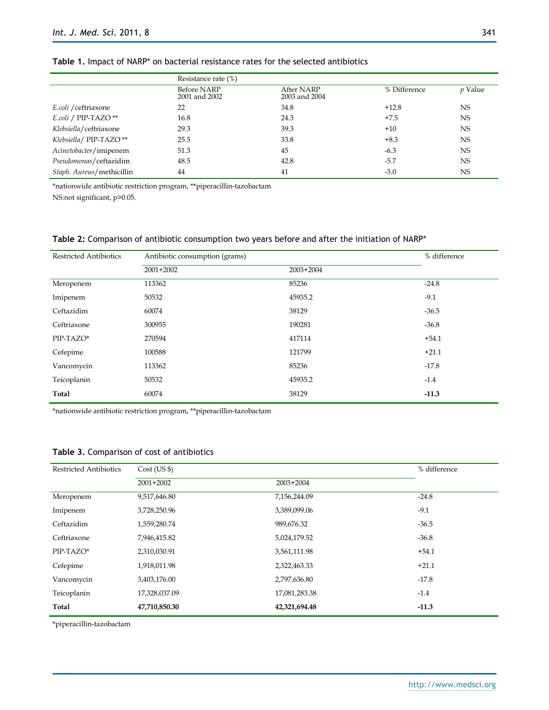|                           | Resistance rate (%)                 |                             |              |                |
|---------------------------|-------------------------------------|-----------------------------|--------------|----------------|
|                           | <b>Before NARP</b><br>2001 and 2002 | After NARP<br>2003 and 2004 | % Difference | <i>p</i> Value |
| E.coli / ceftriaxone      | 22                                  | 34.8                        | $+12.8$      | <b>NS</b>      |
| E.coli / PIP-TAZO**       | 16.8                                | 24.3                        | $+7.5$       | NS             |
| Klebsiella/ceftriaxone    | 29.3                                | 39.3                        | $+10$        | <b>NS</b>      |
| Klebsiella/ PIP-TAZO**    | 25.5                                | 33.8                        | $+8.3$       | <b>NS</b>      |
| Acinetobacter/imipenem    | 51.3                                | 45                          | $-6.3$       | <b>NS</b>      |
| Pseudomonas/ceftazidim    | 48.5                                | 42.8                        | $-5.7$       | <b>NS</b>      |
| Staph. Aureus/methicillin | 44                                  | 41                          | $-3.0$       | <b>NS</b>      |

# **Table 1.** Impact of NARP\* on bacterial resistance rates for the selected antibiotics

\*nationwide antibiotic restriction program, \*\*piperacillin-tazobactam

NS:not significant, p>0.05.

#### **Table 2:** Comparison of antibiotic consumption two years before and after the initiation of NARP\*

| <b>Restricted Antibiotics</b> | Antibiotic consumption (grams) |             | % difference |
|-------------------------------|--------------------------------|-------------|--------------|
|                               | $2001+2002$                    | $2003+2004$ |              |
| Meropenem                     | 113362                         | 85236       | $-24.8$      |
| Imipenem                      | 50532                          | 45935.2     | $-9.1$       |
| Ceftazidim                    | 60074                          | 38129       | $-36.5$      |
| Ceftriaxone                   | 300955                         | 190281      | $-36.8$      |
| PIP-TAZO*                     | 270594                         | 417114      | $+54.1$      |
| Cefepime                      | 100588                         | 121799      | $+21.1$      |
| Vancomycin                    | 113362                         | 85236       | $-17.8$      |
| Teicoplanin                   | 50532                          | 45935.2     | $-1.4$       |
| Total                         | 60074                          | 38129       | $-11.3$      |

\*nationwide antibiotic restriction program, \*\*piperacillin-tazobactam

#### **Table 3.** Comparison of cost of antibiotics

| <b>Restricted Antibiotics</b> | Cost (US \$)  |               | % difference |
|-------------------------------|---------------|---------------|--------------|
|                               | $2001+2002$   | $2003+2004$   |              |
| Meropenem                     | 9,517,646.80  | 7,156,244.09  | $-24.8$      |
| Imipenem                      | 3,728,250.96  | 3,389,099.06  | $-9.1$       |
| Ceftazidim                    | 1,559,280.74  | 989,676.32    | $-36.5$      |
| Ceftriaxone                   | 7,946,415.82  | 5,024,179.52  | $-36.8$      |
| PIP-TAZO*                     | 2,310,030.91  | 3,561,111.98  | $+54.1$      |
| Cefepime                      | 1,918,011.98  | 2,322,463.33  | $+21.1$      |
| Vancomycin                    | 3,403,176.00  | 2,797,636.80  | $-17.8$      |
| Teicoplanin                   | 17,328,037.09 | 17,081,283.38 | $-1.4$       |
| Total                         | 47,710,850.30 | 42,321,694.48 | $-11.3$      |

\*piperacillin-tazobactam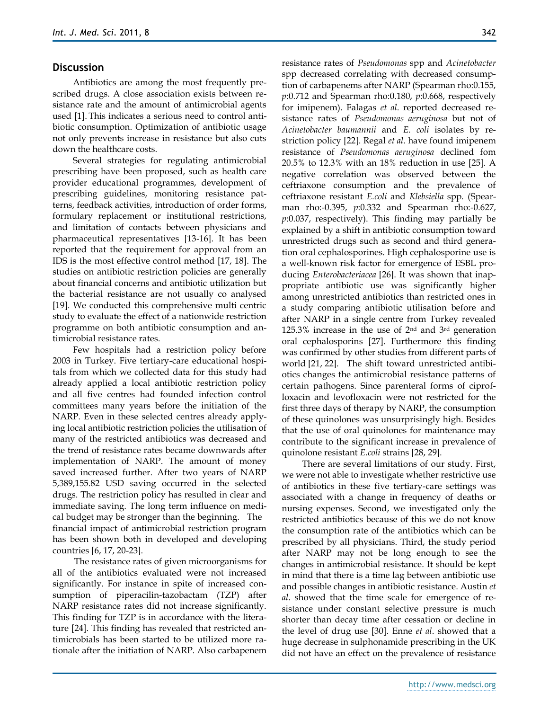#### **Discussion**

Antibiotics are among the most frequently prescribed drugs. A close association exists between resistance rate and the amount of antimicrobial agents used [1]. This indicates a serious need to control antibiotic consumption. Optimization of antibiotic usage not only prevents increase in resistance but also cuts down the healthcare costs.

Several strategies for regulating antimicrobial prescribing have been proposed, such as health care provider educational programmes, development of prescribing guidelines, monitoring resistance patterns, feedback activities, introduction of order forms, formulary replacement or institutional restrictions, and limitation of contacts between physicians and pharmaceutical representatives [13-16]. It has been reported that the requirement for approval from an IDS is the most effective control method [17, 18]. The studies on antibiotic restriction policies are generally about financial concerns and antibiotic utilization but the bacterial resistance are not usually co analysed [19]. We conducted this comprehensive multi centric study to evaluate the effect of a nationwide restriction programme on both antibiotic consumption and antimicrobial resistance rates.

Few hospitals had a restriction policy before 2003 in Turkey. Five tertiary-care educational hospitals from which we collected data for this study had already applied a local antibiotic restriction policy and all five centres had founded infection control committees many years before the initiation of the NARP. Even in these selected centres already applying local antibiotic restriction policies the utilisation of many of the restricted antibiotics was decreased and the trend of resistance rates became downwards after implementation of NARP. The amount of money saved increased further. After two years of NARP 5,389,155.82 USD saving occurred in the selected drugs. The restriction policy has resulted in clear and immediate saving. The long term influence on medical budget may be stronger than the beginning. The financial impact of antimicrobial restriction program has been shown both in developed and developing countries [6, 17, 20-23].

The resistance rates of given microorganisms for all of the antibiotics evaluated were not increased significantly. For instance in spite of increased consumption of piperacilin-tazobactam (TZP) after NARP resistance rates did not increase significantly. This finding for TZP is in accordance with the literature [24]. This finding has revealed that restricted antimicrobials has been started to be utilized more rationale after the initiation of NARP. Also carbapenem resistance rates of *Pseudomonas* spp and *Acinetobacter*  spp decreased correlating with decreased consumption of carbapenems after NARP (Spearman rho:0.155, *p*:0.712 and Spearman rho:0.180, *p*:0.668, respectively for imipenem). Falagas *et al*. reported decreased resistance rates of *Pseudomonas aeruginosa* but not of *Acinetobacter baumannii* and *E. coli* isolates by restriction policy [22]. Regal *et al.* have found imipenem resistance of *Pseudomonas aeruginosa* declined fom 20.5% to 12.3% with an 18% reduction in use [25]. A negative correlation was observed between the ceftriaxone consumption and the prevalence of ceftriaxone resistant *E.coli* and *Klebsiella* spp*.* (Spearman rho:-0.395, *p*:0.332 and Spearman rho:-0.627, *p*:0.037, respectively). This finding may partially be explained by a shift in antibiotic consumption toward unrestricted drugs such as second and third generation oral cephalosporines. High cephalosporine use is a well-known risk factor for emergence of ESBL producing *Enterobacteriacea* [26]. It was shown that inappropriate antibiotic use was significantly higher among unrestricted antibiotics than restricted ones in a study comparing antibiotic utilisation before and after NARP in a single centre from Turkey revealed 125.3% increase in the use of 2nd and 3rd generation oral cephalosporins [27]. Furthermore this finding was confirmed by other studies from different parts of world [21, 22]. The shift toward unrestricted antibiotics changes the antimicrobial resistance patterns of certain pathogens. Since parenteral forms of ciprofloxacin and levofloxacin were not restricted for the first three days of therapy by NARP, the consumption of these quinolones was unsurprisingly high. Besides that the use of oral quinolones for maintenance may contribute to the significant increase in prevalence of quinolone resistant *E.coli* strains [28, 29].

There are several limitations of our study. First, we were not able to investigate whether restrictive use of antibiotics in these five tertiary-care settings was associated with a change in frequency of deaths or nursing expenses. Second, we investigated only the restricted antibiotics because of this we do not know the consumption rate of the antibiotics which can be prescribed by all physicians. Third, the study period after NARP may not be long enough to see the changes in antimicrobial resistance. It should be kept in mind that there is a time lag between antibiotic use and possible changes in antibiotic resistance. Austin *et al*. showed that the time scale for emergence of resistance under constant selective pressure is much shorter than decay time after cessation or decline in the level of drug use [30]. Enne *et al*. showed that a huge decrease in sulphonamide prescribing in the UK did not have an effect on the prevalence of resistance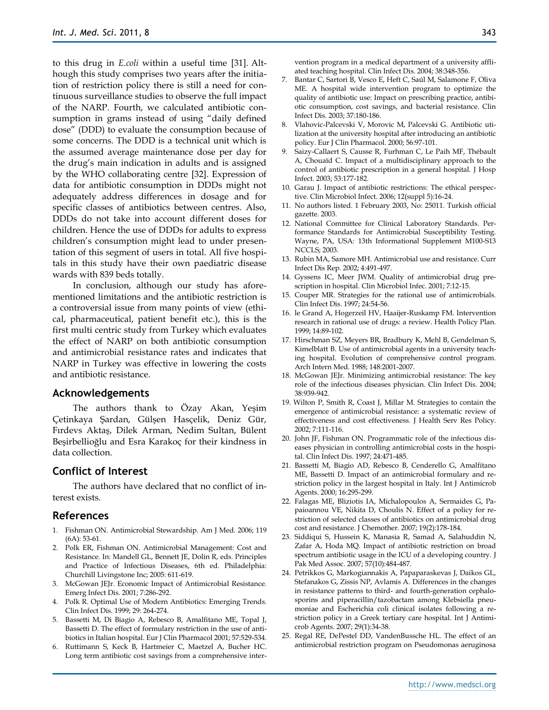to this drug in *E.coli* within a useful time [31]. Although this study comprises two years after the initiation of restriction policy there is still a need for continuous surveillance studies to observe the full impact of the NARP. Fourth, we calculated antibiotic consumption in grams instead of using "daily defined dose" (DDD) to evaluate the consumption because of some concerns. The DDD is a technical unit which is the assumed average maintenance dose per day for the drug's main indication in adults and is assigned by the WHO collaborating centre [32]. Expression of data for antibiotic consumption in DDDs might not adequately address differences in dosage and for specific classes of antibiotics between centres. Also, DDDs do not take into account different doses for children. Hence the use of DDDs for adults to express children's consumption might lead to under presentation of this segment of users in total. All five hospitals in this study have their own paediatric disease wards with 839 beds totally.

In conclusion, although our study has aforementioned limitations and the antibiotic restriction is a controversial issue from many points of view (ethical, pharmaceutical, patient benefit etc.), this is the first multi centric study from Turkey which evaluates the effect of NARP on both antibiotic consumption and antimicrobial resistance rates and indicates that NARP in Turkey was effective in lowering the costs and antibiotic resistance.

#### **Acknowledgements**

The authors thank to Özay Akan, Yeşim Çetinkaya Şardan, Gülşen Hasçelik, Deniz Gür, Fırdevs Aktaş, Dilek Arman, Nedim Sultan, Bülent Beşirbellioğlu and Esra Karakoç for their kindness in data collection.

## **Conflict of Interest**

The authors have declared that no conflict of interest exists.

#### **References**

- 1. Fishman ON. Antimicrobial Stewardship. Am J Med. 2006; 119 (6A): 53-61.
- 2. Polk ER, Fishman ON. Antimicrobial Management: Cost and Resistance. In: Mandell GL, Bennett JE, Dolin R, eds. Principles and Practice of Infectious Diseases, 6th ed. Philadelphia: Churchill Livingstone Inc; 2005: 611-619.
- 3. McGowan JEJr. Economic Impact of Antimicrobial Resistance. Emerg Infect Dis. 2001; 7:286-292.
- 4. Polk R. Optimal Use of Modern Antibiotics: Emerging Trends. Clin Infect Dis. 1999; 29: 264-274.
- 5. Bassetti M, Di Biagio A, Rebesco B, Amalfitano ME, Topal J, Bassetti D. The effect of formulary restriction in the use of antibiotics in Italian hospital. Eur J Clin Pharmacol 2001; 57:529-534.
- 6. Ruttimann S, Keck B, Hartmeier C, Maetzel A, Bucher HC. Long term antibiotic cost savings from a comprehensive inter-

vention program in a medical department of a university affliated teaching hospital. Clin Infect Dis. 2004; 38:348-356.

- 7. Bantar C, Sartori B, Vesco E, Heft C, Saúl M, Salamone F, Oliva ME. A hospital wide intervention program to optimize the quality of antibiotic use: Impact on prescribing practice, antibiotic consumption, cost savings, and bacterial resistance. Clin Infect Dis. 2003; 37:180-186.
- 8. Vlahovic-Palcevski V, Morovic M, Palcevski G. Antibiotic utilization at the university hospital after introducing an antibiotic policy. Eur J Clin Pharmacol. 2000; 56:97-101.
- 9. Saizy-Callaert S, Causse R, Furhman C, Le Paih MF, Thébault A, Chouaïd C. Impact of a multidisciplinary approach to the control of antibiotic prescription in a general hospital. J Hosp Infect. 2003; 53:177-182.
- 10. Garau J. Impact of antibiotic restrictions: The ethical perspective. Clin Microbiol Infect. 2006; 12(suppl 5):16-24.
- 11. No authors listed. 1 February 2003, No: 25011. Turkish official gazette. 2003.
- 12. National Committee for Clinical Laboratory Standards. Performance Standards for Antimicrobial Susceptibility Testing. Wayne, PA, USA: 13th Informational Supplement M100-S13 NCCLS; 2003.
- 13. Rubin MA, Samore MH. Antimicrobial use and resistance. Curr Infect Dis Rep. 2002; 4:491-497.
- 14. Gyssens IC, Meer JWM. Quality of antimicrobial drug prescription in hospital. Clin Microbiol Infec. 2001; 7:12-15.
- 15. Couper MR. Strategies for the rational use of antimicrobials. Clin Infect Dis. 1997; 24:54-56.
- 16. le Grand A, Hogerzeil HV, Haaijer-Ruskamp FM. Intervention research in rational use of drugs: a review. Health Policy Plan. 1999; 14:89-102.
- 17. Hirschman SZ, Meyers BR, Bradbury K, Mehl B, Gendelman S, Kimelblatt B. Use of antimicrobial agents in a university teaching hospital. Evolution of comprehensive control program. Arch Intern Med. 1988; 148:2001-2007.
- 18. McGowan JEJr. Minimizing antimicrobial resistance: The key role of the infectious diseases physician. Clin Infect Dis. 2004; 38:939-942.
- 19. Wilton P, Smith R, Coast J, Millar M. Strategies to contain the emergence of antimicrobial resistance: a systematic review of effectiveness and cost effectiveness. J Health Serv Res Policy. 2002; 7:111-116.
- 20. John JF, Fishman ON. Programmatic role of the infectious diseases physician in controlling antimicrobial costs in the hospital. Clin Infect Dis. 1997; 24:471-485.
- 21. Bassetti M, Biagio AD, Rebesco B, Cenderello G, Amalfitano ME, Bassetti D. Impact of an antimicrobial formulary and restriction policy in the largest hospital in Italy. Int J Antimicrob Agents. 2000; 16:295-299.
- 22. [Falagas ME,](http://www.ncbi.nlm.nih.gov/pubmed?term=%22Falagas%20ME%22%5BAuthor%5D) [Bliziotis IA,](http://www.ncbi.nlm.nih.gov/pubmed?term=%22Bliziotis%20IA%22%5BAuthor%5D) [Michalopoulos A,](http://www.ncbi.nlm.nih.gov/pubmed?term=%22Michalopoulos%20A%22%5BAuthor%5D) [Sermaides G,](http://www.ncbi.nlm.nih.gov/pubmed?term=%22Sermaides%20G%22%5BAuthor%5D) [Pa](http://www.ncbi.nlm.nih.gov/pubmed?term=%22Papaioannou%20VE%22%5BAuthor%5D)[paioannou VE,](http://www.ncbi.nlm.nih.gov/pubmed?term=%22Papaioannou%20VE%22%5BAuthor%5D) [Nikita D,](http://www.ncbi.nlm.nih.gov/pubmed?term=%22Nikita%20D%22%5BAuthor%5D) [Choulis N.](http://www.ncbi.nlm.nih.gov/pubmed?term=%22Choulis%20N%22%5BAuthor%5D) Effect of a policy for restriction of selected classes of antibiotics on antimicrobial drug cost and resistance. [J Chemother.](javascript:AL_get(this,%20) 2007; 19(2):178-184.
- 23. [Siddiqui S,](http://www.ncbi.nlm.nih.gov/pubmed?term=%22Siddiqui%20S%22%5BAuthor%5D) [Hussein K,](http://www.ncbi.nlm.nih.gov/pubmed?term=%22Hussein%20K%22%5BAuthor%5D) [Manasia R,](http://www.ncbi.nlm.nih.gov/pubmed?term=%22Manasia%20R%22%5BAuthor%5D) [Samad A,](http://www.ncbi.nlm.nih.gov/pubmed?term=%22Samad%20A%22%5BAuthor%5D) [Salahuddin N,](http://www.ncbi.nlm.nih.gov/pubmed?term=%22Salahuddin%20N%22%5BAuthor%5D)  [Zafar A,](http://www.ncbi.nlm.nih.gov/pubmed?term=%22Zafar%20A%22%5BAuthor%5D) [Hoda MQ.](http://www.ncbi.nlm.nih.gov/pubmed?term=%22Hoda%20MQ%22%5BAuthor%5D) Impact of antibiotic restriction on broad spectrum antibiotic usage in the ICU of a developing country[. J](javascript:AL_get(this,%20)  [Pak Med Assoc.](javascript:AL_get(this,%20) 2007; 57(10):484-487.
- 24. Petrikkos G, Markogiannakis A, Papaparaskevas J, Daikos GL, Stefanakos G, Zissis NP, Avlamis A. [Differences in the changes](http://www.ncbi.nlm.nih.gov/pubmed/17189092?ordinalpos=2&itool=EntrezSystem2.PEntrez.Pubmed.Pubmed_ResultsPanel.Pubmed_DefaultReportPanel.Pubmed_RVDocSum)  in resistance patterns to third- [and fourth-generation cephalo](http://www.ncbi.nlm.nih.gov/pubmed/17189092?ordinalpos=2&itool=EntrezSystem2.PEntrez.Pubmed.Pubmed_ResultsPanel.Pubmed_DefaultReportPanel.Pubmed_RVDocSum)[sporins and piperacillin/tazobactam](http://www.ncbi.nlm.nih.gov/pubmed/17189092?ordinalpos=2&itool=EntrezSystem2.PEntrez.Pubmed.Pubmed_ResultsPanel.Pubmed_DefaultReportPanel.Pubmed_RVDocSum) among Klebsiella pneu[moniae and Escherichia coli clinical isolates following a re](http://www.ncbi.nlm.nih.gov/pubmed/17189092?ordinalpos=2&itool=EntrezSystem2.PEntrez.Pubmed.Pubmed_ResultsPanel.Pubmed_DefaultReportPanel.Pubmed_RVDocSum)[striction policy in a Greek tertiary care hospital.](http://www.ncbi.nlm.nih.gov/pubmed/17189092?ordinalpos=2&itool=EntrezSystem2.PEntrez.Pubmed.Pubmed_ResultsPanel.Pubmed_DefaultReportPanel.Pubmed_RVDocSum) Int J Antimicrob Agents. 2007; 29(1):34-38.
- 25. [Regal RE,](http://www.ncbi.nlm.nih.gov/pubmed?term=%22Regal%20RE%22%5BAuthor%5D) [DePestel DD,](http://www.ncbi.nlm.nih.gov/pubmed?term=%22DePestel%20DD%22%5BAuthor%5D) [VandenBussche HL.](http://www.ncbi.nlm.nih.gov/pubmed?term=%22VandenBussche%20HL%22%5BAuthor%5D) The effect of an antimicrobial restriction program on Pseudomonas aeruginosa